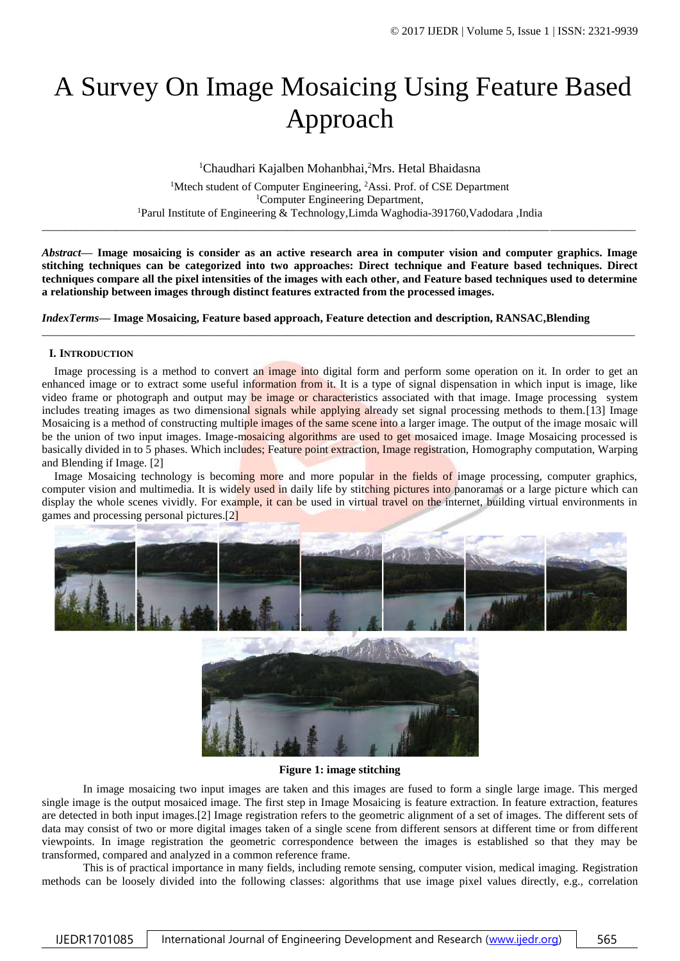# A Survey On Image Mosaicing Using Feature Based Approach

<sup>1</sup>Chaudhari Kajalben Mohanbhai,<sup>2</sup>Mrs. Hetal Bhaidasna <sup>1</sup>Mtech student of Computer Engineering, <sup>2</sup>Assi. Prof. of CSE Department <sup>1</sup>Computer Engineering Department, <sup>1</sup>Parul Institute of Engineering & Technology,Limda Waghodia-391760,Vadodara ,India

\_\_\_\_\_\_\_\_\_\_\_\_\_\_\_\_\_\_\_\_\_\_\_\_\_\_\_\_\_\_\_\_\_\_\_\_\_\_\_\_\_\_\_\_\_\_\_\_\_\_\_\_\_\_\_\_\_\_\_\_\_\_\_\_\_\_\_\_\_\_\_\_\_\_\_\_\_\_\_\_\_\_\_\_\_\_\_\_\_\_\_\_\_\_\_\_\_\_\_\_\_\_\_\_

*Abstract***— Image mosaicing is consider as an active research area in computer vision and computer graphics. Image stitching techniques can be categorized into two approaches: Direct technique and Feature based techniques. Direct techniques compare all the pixel intensities of the images with each other, and Feature based techniques used to determine a relationship between images through distinct features extracted from the processed images.**

*\_\_\_\_\_\_\_\_\_\_\_\_\_\_\_\_\_\_\_\_\_\_\_\_\_\_\_\_\_\_\_\_\_\_\_\_\_\_\_\_\_\_\_\_\_\_\_\_\_\_\_\_\_\_\_\_\_\_\_\_\_\_\_\_\_\_\_\_\_\_\_\_\_\_\_\_\_\_\_\_\_\_\_\_\_\_\_\_\_\_\_\_\_\_\_\_\_\_\_\_\_\_\_\_*

*IndexTerms***— Image Mosaicing, Feature based approach, Feature detection and description, RANSAC,Blending**

#### **I. INTRODUCTION**

Image processing is a method to convert an image into digital form and perform some operation on it. In order to get an enhanced image or to extract some useful information from it. It is a type of signal dispensation in which input is image, like video frame or photograph and output may be image or characteristics associated with that image. Image processing system includes treating images as two dimensional signals while applying already set signal processing methods to them.[13] Image Mosaicing is a method of constructing multiple images of the same scene into a larger image. The output of the image mosaic will be the union of two input images. Image-mosaicing algorithms are used to get mosaiced image. Image Mosaicing processed is basically divided in to 5 phases. Which includes; Feature point extraction, Image registration, Homography computation, Warping and Blending if Image. [2]

Image Mosaicing technology is becoming more and more popular in the fields of image processing, computer graphics, computer vision and multimedia. It is widely used in daily life by stitching pictures into panoramas or a large picture which can display the whole scenes vividly. For example, it can be used in virtual travel on the internet, building virtual environments in games and processing personal pictures.[2]





### **Figure 1: image stitching**

In image mosaicing two input images are taken and this images are fused to form a single large image. This merged single image is the output mosaiced image. The first step in Image Mosaicing is feature extraction. In feature extraction, features are detected in both input images.[2] Image registration refers to the geometric alignment of a set of images. The different sets of data may consist of two or more digital images taken of a single scene from different sensors at different time or from different viewpoints. In image registration the geometric correspondence between the images is established so that they may be transformed, compared and analyzed in a common reference frame.

This is of practical importance in many fields, including remote sensing, computer vision, medical imaging. Registration methods can be loosely divided into the following classes: algorithms that use image pixel values directly, e.g., correlation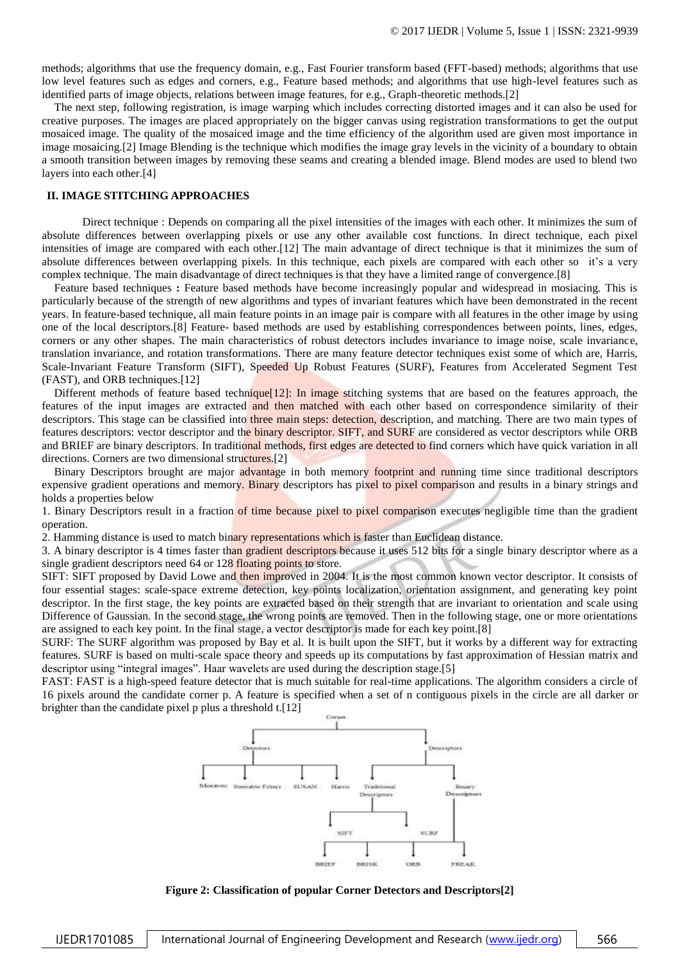methods; algorithms that use the frequency domain, e.g., Fast Fourier transform based (FFT-based) methods; algorithms that use low level features such as edges and corners, e.g., Feature based methods; and algorithms that use high-level features such as identified parts of image objects, relations between image features, for e.g., Graph-theoretic methods.[2]

The next step, following registration, is image warping which includes correcting distorted images and it can also be used for creative purposes. The images are placed appropriately on the bigger canvas using registration transformations to get the output mosaiced image. The quality of the mosaiced image and the time efficiency of the algorithm used are given most importance in image mosaicing.[2] Image Blending is the technique which modifies the image gray levels in the vicinity of a boundary to obtain a smooth transition between images by removing these seams and creating a blended image. Blend modes are used to blend two layers into each other.[4]

### **II. IMAGE STITCHING APPROACHES**

Direct technique : Depends on comparing all the pixel intensities of the images with each other. It minimizes the sum of absolute differences between overlapping pixels or use any other available cost functions. In direct technique, each pixel intensities of image are compared with each other.[12] The main advantage of direct technique is that it minimizes the sum of absolute differences between overlapping pixels. In this technique, each pixels are compared with each other so it's a very complex technique. The main disadvantage of direct techniques is that they have a limited range of convergence.[8]

Feature based techniques **:** Feature based methods have become increasingly popular and widespread in mosiacing. This is particularly because of the strength of new algorithms and types of invariant features which have been demonstrated in the recent years. In feature-based technique, all main feature points in an image pair is compare with all features in the other image by using one of the local descriptors.[8] Feature- based methods are used by establishing correspondences between points, lines, edges, corners or any other shapes. The main characteristics of robust detectors includes invariance to image noise, scale invariance, translation invariance, and rotation transformations. There are many feature detector techniques exist some of which are, Harris, Scale-Invariant Feature Transform (SIFT), Speeded Up Robust Features (SURF), Features from Accelerated Segment Test (FAST), and ORB techniques.[12]

Different methods of feature based technique<sup>[12]</sup>: In image stitching systems that are based on the features approach, the features of the input images are extracted and then matched with each other based on correspondence similarity of their descriptors. This stage can be classified into three main steps: detection, description, and matching. There are two main types of features descriptors: vector descriptor and the binary descriptor. SIFT, and SURF are considered as vector descriptors while ORB and BRIEF are binary descriptors. In traditional methods, first edges are detected to find corners which have quick variation in all directions. Corners are two dimensional structures.[2]

Binary Descriptors brought are major advantage in both memory footprint and running time since traditional descriptors expensive gradient operations and memory. Binary descriptors has pixel to pixel comparison and results in a binary strings and holds a properties below

1. Binary Descriptors result in a fraction of time because pixel to pixel comparison executes negligible time than the gradient operation.

2. Hamming distance is used to match binary representations which is faster than Euclidean distance.

3. A binary descriptor is 4 times faster than gradient descriptors because it uses 512 bits for a single binary descriptor where as a single gradient descriptors need 64 or 128 floating points to store.

SIFT: SIFT proposed by David Lowe and then improved in 2004. It is the most common known vector descriptor. It consists of four essential stages: scale-space extreme detection, key points localization, orientation assignment, and generating key point descriptor. In the first stage, the key points are extracted based on their strength that are invariant to orientation and scale using Difference of Gaussian. In the second stage, the wrong points are removed. Then in the following stage, one or more orientations are assigned to each key point. In the final stage, a vector descriptor is made for each key point.[8]

SURF: The SURF algorithm was proposed by Bay et al. It is built upon the SIFT, but it works by a different way for extracting features. SURF is based on multi-scale space theory and speeds up its computations by fast approximation of Hessian matrix and descriptor using "integral images". Haar wavelets are used during the description stage.[5]

FAST: FAST is a high-speed feature detector that is much suitable for real-time applications. The algorithm considers a circle of 16 pixels around the candidate corner p. A feature is specified when a set of n contiguous pixels in the circle are all darker or brighter than the candidate pixel p plus a threshold t.[12]



**Figure 2: Classification of popular Corner Detectors and Descriptors[2]**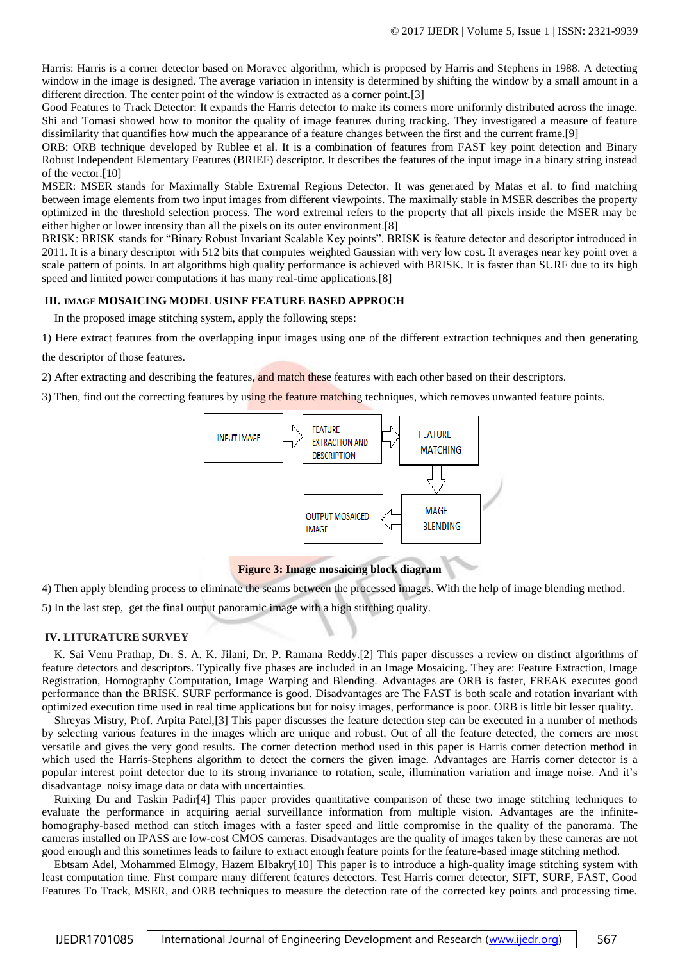Harris: Harris is a corner detector based on Moravec algorithm, which is proposed by Harris and Stephens in 1988. A detecting window in the image is designed. The average variation in intensity is determined by shifting the window by a small amount in a different direction. The center point of the window is extracted as a corner point.[3]

Good Features to Track Detector: It expands the Harris detector to make its corners more uniformly distributed across the image. Shi and Tomasi showed how to monitor the quality of image features during tracking. They investigated a measure of feature dissimilarity that quantifies how much the appearance of a feature changes between the first and the current frame.[9]

ORB: ORB technique developed by Rublee et al. It is a combination of features from FAST key point detection and Binary Robust Independent Elementary Features (BRIEF) descriptor. It describes the features of the input image in a binary string instead of the vector.[10]

MSER: MSER stands for Maximally Stable Extremal Regions Detector. It was generated by Matas et al. to find matching between image elements from two input images from different viewpoints. The maximally stable in MSER describes the property optimized in the threshold selection process. The word extremal refers to the property that all pixels inside the MSER may be either higher or lower intensity than all the pixels on its outer environment.[8]

BRISK: BRISK stands for "Binary Robust Invariant Scalable Key points". BRISK is feature detector and descriptor introduced in 2011. It is a binary descriptor with 512 bits that computes weighted Gaussian with very low cost. It averages near key point over a scale pattern of points. In art algorithms high quality performance is achieved with BRISK. It is faster than SURF due to its high speed and limited power computations it has many real-time applications.[8]

# **III. IMAGE MOSAICING MODEL USINF FEATURE BASED APPROCH**

In the proposed image stitching system, apply the following steps:

1) Here extract features from the overlapping input images using one of the different extraction techniques and then generating

the descriptor of those features.

2) After extracting and describing the features, and match these features with each other based on their descriptors.

3) Then, find out the correcting features by using the feature matching techniques, which removes unwanted feature points.



**Figure 3: Image mosaicing block diagram**

4) Then apply blending process to eliminate the seams between the processed images. With the help of image blending method.

5) In the last step, get the final output panoramic image with a high stitching quality.

# **IV. LITURATURE SURVEY**

K. Sai Venu Prathap, Dr. S. A. K. Jilani, Dr. P. Ramana Reddy.[2] This paper discusses a review on distinct algorithms of feature detectors and descriptors. Typically five phases are included in an Image Mosaicing. They are: Feature Extraction, Image Registration, Homography Computation, Image Warping and Blending. Advantages are ORB is faster, FREAK executes good performance than the BRISK. SURF performance is good. Disadvantages are The FAST is both scale and rotation invariant with optimized execution time used in real time applications but for noisy images, performance is poor. ORB is little bit lesser quality.

Shreyas Mistry, Prof. Arpita Patel,[3] This paper discusses the feature detection step can be executed in a number of methods by selecting various features in the images which are unique and robust. Out of all the feature detected, the corners are most versatile and gives the very good results. The corner detection method used in this paper is Harris corner detection method in which used the Harris-Stephens algorithm to detect the corners the given image. Advantages are Harris corner detector is a popular interest point detector due to its strong invariance to rotation, scale, illumination variation and image noise. And it's disadvantage noisy image data or data with uncertainties.

Ruixing Du and Taskin Padir[4] This paper provides quantitative comparison of these two image stitching techniques to evaluate the performance in acquiring aerial surveillance information from multiple vision. Advantages are the infinitehomography-based method can stitch images with a faster speed and little compromise in the quality of the panorama. The cameras installed on IPASS are low-cost CMOS cameras. Disadvantages are the quality of images taken by these cameras are not good enough and this sometimes leads to failure to extract enough feature points for the feature-based image stitching method.

Ebtsam Adel, Mohammed Elmogy, Hazem Elbakry[10] This paper is to introduce a high-quality image stitching system with least computation time. First compare many different features detectors. Test Harris corner detector, SIFT, SURF, FAST, Good Features To Track, MSER, and ORB techniques to measure the detection rate of the corrected key points and processing time.